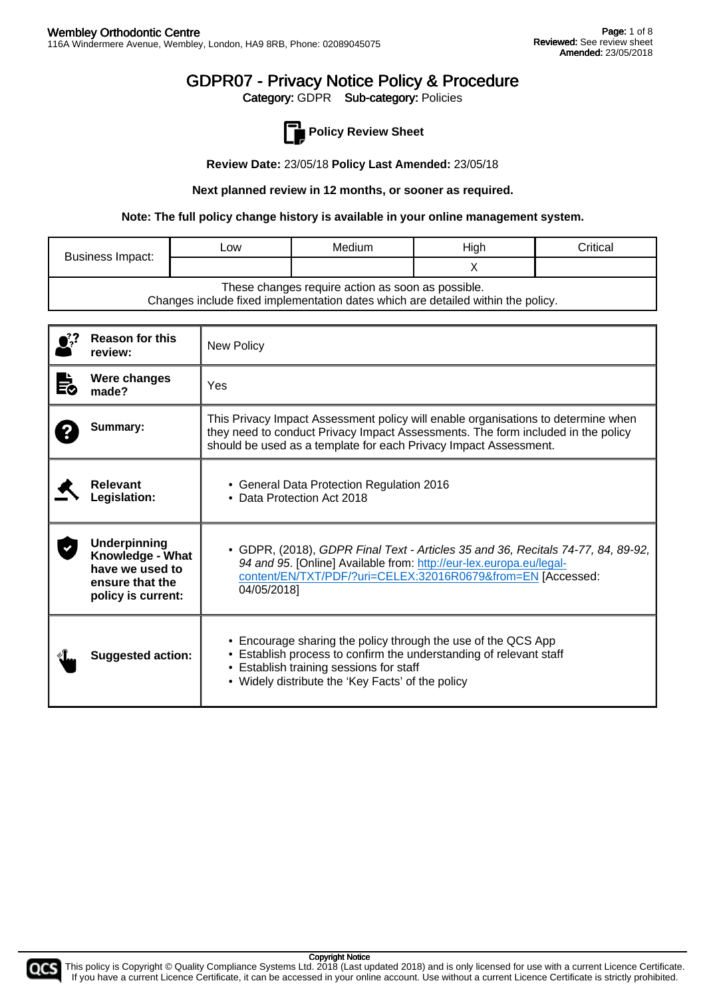Category: GDPR Sub-category: Policies



**Policy Review Sheet** 

**Review Date:** 23/05/18 **Policy Last Amended:** 23/05/18

**Next planned review in 12 months, or sooner as required.**

**Note: The full policy change history is available in your online management system.**

| Business Impact:                                                                                                                      | Low | Medium | High | Critical |  |
|---------------------------------------------------------------------------------------------------------------------------------------|-----|--------|------|----------|--|
|                                                                                                                                       |     |        |      |          |  |
| These changes require action as soon as possible.<br>Changes include fixed implementation dates which are detailed within the policy. |     |        |      |          |  |

|   | <b>Reason for this</b><br>review:                                                                   | <b>New Policy</b>                                                                                                                                                                                                                         |
|---|-----------------------------------------------------------------------------------------------------|-------------------------------------------------------------------------------------------------------------------------------------------------------------------------------------------------------------------------------------------|
| 島 | Were changes<br>made?                                                                               | Yes                                                                                                                                                                                                                                       |
|   | Summary:                                                                                            | This Privacy Impact Assessment policy will enable organisations to determine when<br>they need to conduct Privacy Impact Assessments. The form included in the policy<br>should be used as a template for each Privacy Impact Assessment. |
|   | <b>Relevant</b><br>Legislation:                                                                     | • General Data Protection Regulation 2016<br>• Data Protection Act 2018                                                                                                                                                                   |
|   | <b>Underpinning</b><br>Knowledge - What<br>have we used to<br>ensure that the<br>policy is current: | • GDPR, (2018), GDPR Final Text - Articles 35 and 36, Recitals 74-77, 84, 89-92,<br>94 and 95. [Online] Available from: http://eur-lex.europa.eu/legal-<br>content/EN/TXT/PDF/?uri=CELEX:32016R0679&from=EN [Accessed:<br>04/05/2018]     |
|   | <b>Suggested action:</b>                                                                            | • Encourage sharing the policy through the use of the QCS App<br>• Establish process to confirm the understanding of relevant staff<br>• Establish training sessions for staff<br>• Widely distribute the 'Key Facts' of the policy       |



Copyright Notice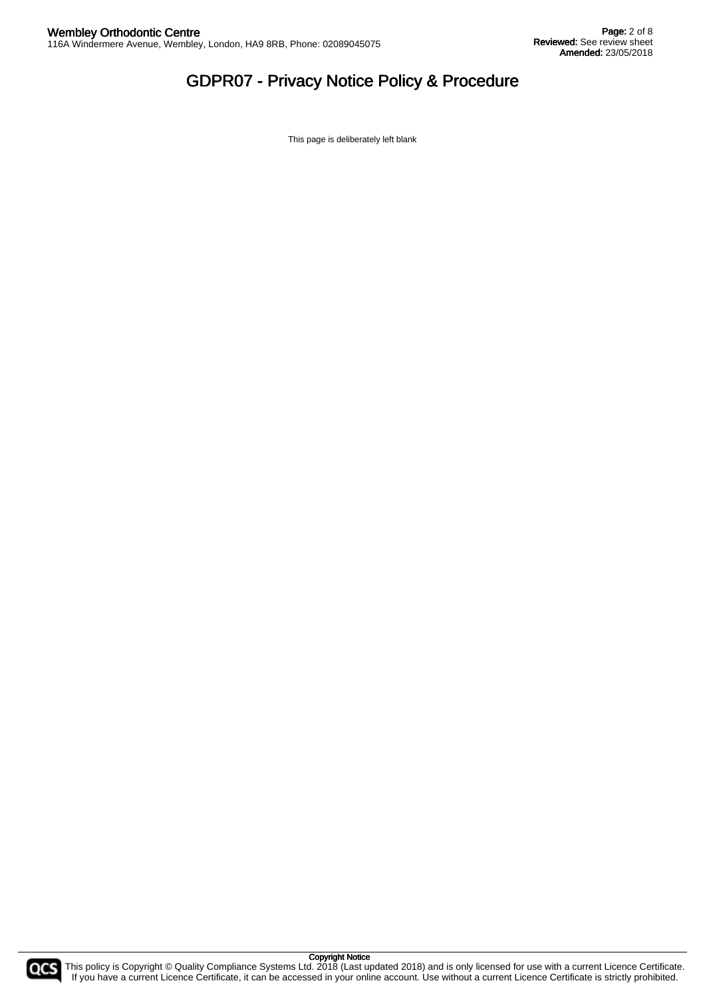This page is deliberately left blank

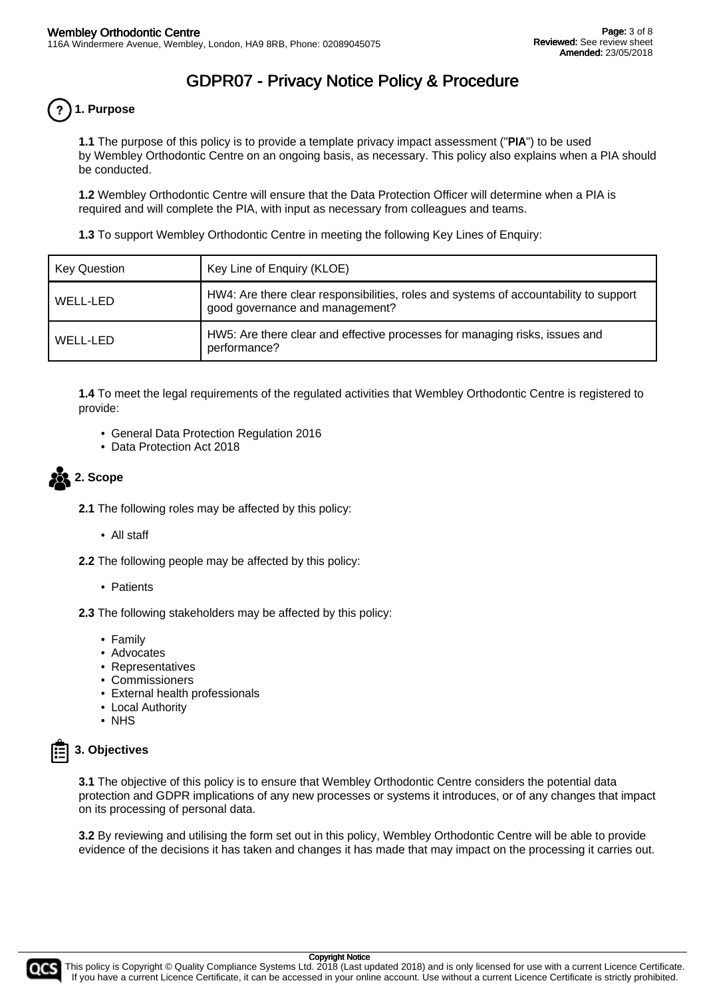

**1.1** The purpose of this policy is to provide a template privacy impact assessment ("**PIA**") to be used by Wembley Orthodontic Centre on an ongoing basis, as necessary. This policy also explains when a PIA should be conducted.

**1.2** Wembley Orthodontic Centre will ensure that the Data Protection Officer will determine when a PIA is required and will complete the PIA, with input as necessary from colleagues and teams.

**1.3** To support Wembley Orthodontic Centre in meeting the following Key Lines of Enquiry:

| Key Question | Key Line of Enquiry (KLOE)                                                                                               |
|--------------|--------------------------------------------------------------------------------------------------------------------------|
| WELL-LED     | HW4: Are there clear responsibilities, roles and systems of accountability to support<br>good governance and management? |
| WELL-LED     | HW5: Are there clear and effective processes for managing risks, issues and<br>performance?                              |

**1.4** To meet the legal requirements of the regulated activities that Wembley Orthodontic Centre is registered to provide:

- General Data Protection Regulation 2016
- Data Protection Act 2018



**2.1** The following roles may be affected by this policy:

• All staff

**2.2** The following people may be affected by this policy:

• Patients

**2.3** The following stakeholders may be affected by this policy:

- Family
- Advocates
- Representatives
- Commissioners
- External health professionals
- Local Authority
- NHS

### **3. Objectives**

**3.1** The objective of this policy is to ensure that Wembley Orthodontic Centre considers the potential data protection and GDPR implications of any new processes or systems it introduces, or of any changes that impact on its processing of personal data.

**3.2** By reviewing and utilising the form set out in this policy, Wembley Orthodontic Centre will be able to provide evidence of the decisions it has taken and changes it has made that may impact on the processing it carries out.

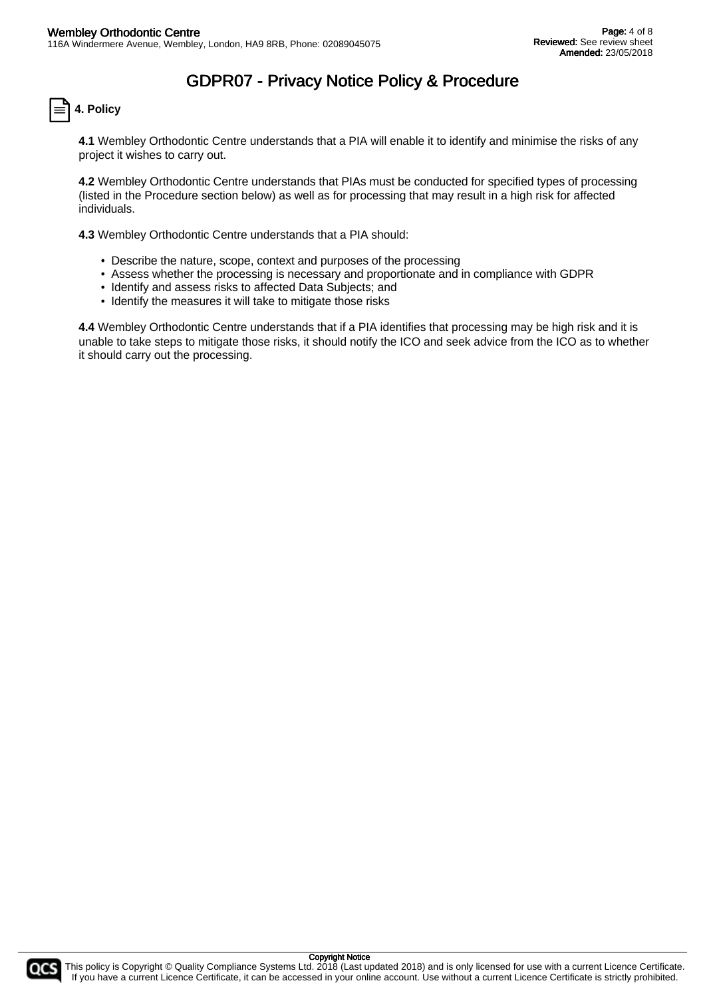

**4.1** Wembley Orthodontic Centre understands that a PIA will enable it to identify and minimise the risks of any project it wishes to carry out.

**4.2** Wembley Orthodontic Centre understands that PIAs must be conducted for specified types of processing (listed in the Procedure section below) as well as for processing that may result in a high risk for affected individuals.

**4.3** Wembley Orthodontic Centre understands that a PIA should:

- Describe the nature, scope, context and purposes of the processing
- Assess whether the processing is necessary and proportionate and in compliance with GDPR
- Identify and assess risks to affected Data Subjects; and
- Identify the measures it will take to mitigate those risks

**4.4** Wembley Orthodontic Centre understands that if a PIA identifies that processing may be high risk and it is unable to take steps to mitigate those risks, it should notify the ICO and seek advice from the ICO as to whether it should carry out the processing.

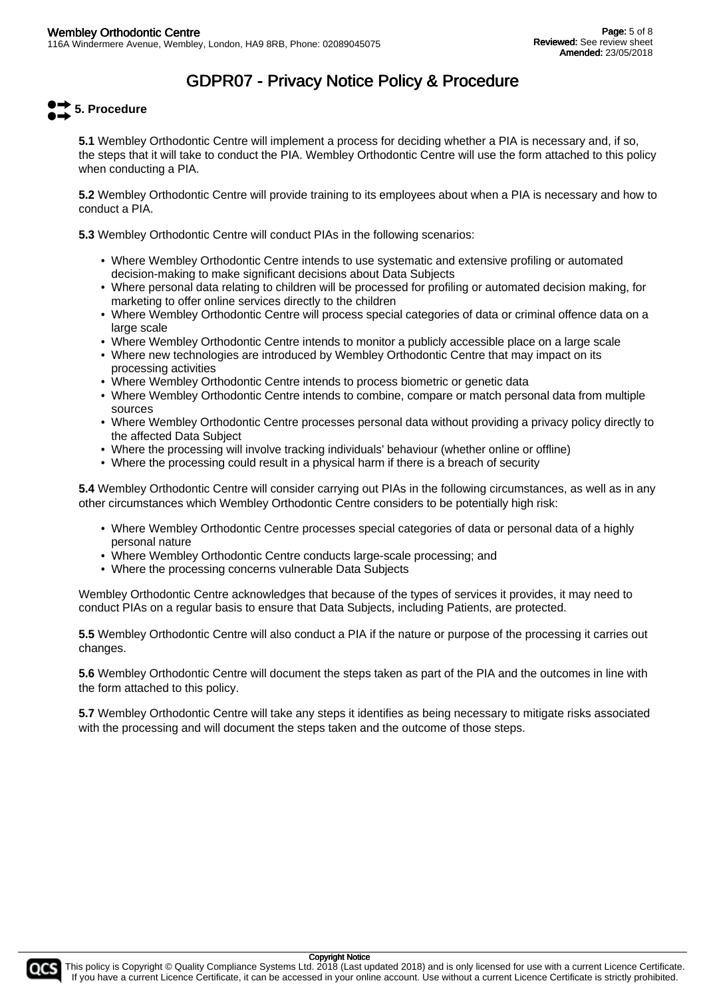

**5.1** Wembley Orthodontic Centre will implement a process for deciding whether a PIA is necessary and, if so, the steps that it will take to conduct the PIA. Wembley Orthodontic Centre will use the form attached to this policy when conducting a PIA.

**5.2** Wembley Orthodontic Centre will provide training to its employees about when a PIA is necessary and how to conduct a PIA.

**5.3** Wembley Orthodontic Centre will conduct PIAs in the following scenarios:

- Where Wembley Orthodontic Centre intends to use systematic and extensive profiling or automated decision-making to make significant decisions about Data Subjects
- Where personal data relating to children will be processed for profiling or automated decision making, for marketing to offer online services directly to the children
- Where Wembley Orthodontic Centre will process special categories of data or criminal offence data on a large scale
- Where Wembley Orthodontic Centre intends to monitor a publicly accessible place on a large scale
- Where new technologies are introduced by Wembley Orthodontic Centre that may impact on its processing activities
- Where Wembley Orthodontic Centre intends to process biometric or genetic data
- Where Wembley Orthodontic Centre intends to combine, compare or match personal data from multiple sources
- Where Wembley Orthodontic Centre processes personal data without providing a privacy policy directly to the affected Data Subject
- Where the processing will involve tracking individuals' behaviour (whether online or offline)
- Where the processing could result in a physical harm if there is a breach of security

**5.4** Wembley Orthodontic Centre will consider carrying out PIAs in the following circumstances, as well as in any other circumstances which Wembley Orthodontic Centre considers to be potentially high risk:

- Where Wembley Orthodontic Centre processes special categories of data or personal data of a highly personal nature
- Where Wembley Orthodontic Centre conducts large-scale processing; and
- Where the processing concerns vulnerable Data Subjects

Wembley Orthodontic Centre acknowledges that because of the types of services it provides, it may need to conduct PIAs on a regular basis to ensure that Data Subjects, including Patients, are protected.

**5.5** Wembley Orthodontic Centre will also conduct a PIA if the nature or purpose of the processing it carries out changes.

**5.6** Wembley Orthodontic Centre will document the steps taken as part of the PIA and the outcomes in line with the form attached to this policy.

**5.7** Wembley Orthodontic Centre will take any steps it identifies as being necessary to mitigate risks associated with the processing and will document the steps taken and the outcome of those steps.

#### Copyright Notice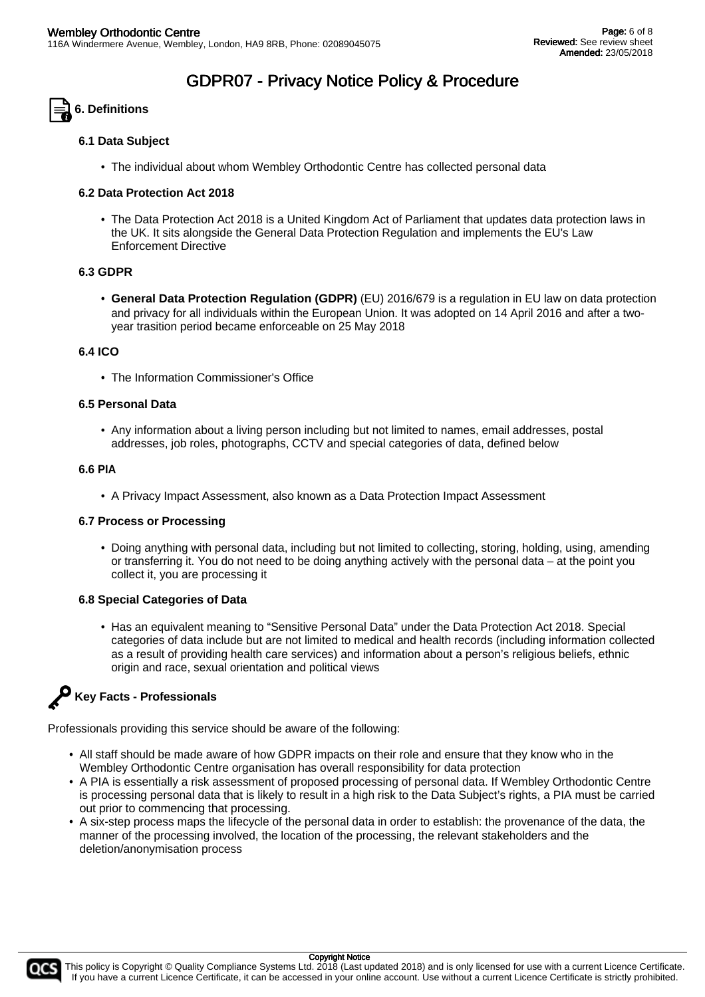

### **6.1 Data Subject**

• The individual about whom Wembley Orthodontic Centre has collected personal data

### **6.2 Data Protection Act 2018**

• The Data Protection Act 2018 is a United Kingdom Act of Parliament that updates data protection laws in the UK. It sits alongside the General Data Protection Regulation and implements the EU's Law Enforcement Directive

### **6.3 GDPR**

• **General Data Protection Regulation (GDPR)** (EU) 2016/679 is a regulation in EU law on data protection and privacy for all individuals within the European Union. It was adopted on 14 April 2016 and after a twoyear trasition period became enforceable on 25 May 2018

### **6.4 ICO**

• The Information Commissioner's Office

### **6.5 Personal Data**

• Any information about a living person including but not limited to names, email addresses, postal addresses, job roles, photographs, CCTV and special categories of data, defined below

#### **6.6 PIA**

• A Privacy Impact Assessment, also known as a Data Protection Impact Assessment

### **6.7 Process or Processing**

• Doing anything with personal data, including but not limited to collecting, storing, holding, using, amending or transferring it. You do not need to be doing anything actively with the personal data – at the point you collect it, you are processing it

### **6.8 Special Categories of Data**

• Has an equivalent meaning to "Sensitive Personal Data" under the Data Protection Act 2018. Special categories of data include but are not limited to medical and health records (including information collected as a result of providing health care services) and information about a person's religious beliefs, ethnic origin and race, sexual orientation and political views

### **Key Facts - Professionals**

Professionals providing this service should be aware of the following:

- All staff should be made aware of how GDPR impacts on their role and ensure that they know who in the Wembley Orthodontic Centre organisation has overall responsibility for data protection
- A PIA is essentially a risk assessment of proposed processing of personal data. If Wembley Orthodontic Centre is processing personal data that is likely to result in a high risk to the Data Subject's rights, a PIA must be carried out prior to commencing that processing.
- A six-step process maps the lifecycle of the personal data in order to establish: the provenance of the data, the manner of the processing involved, the location of the processing, the relevant stakeholders and the deletion/anonymisation process

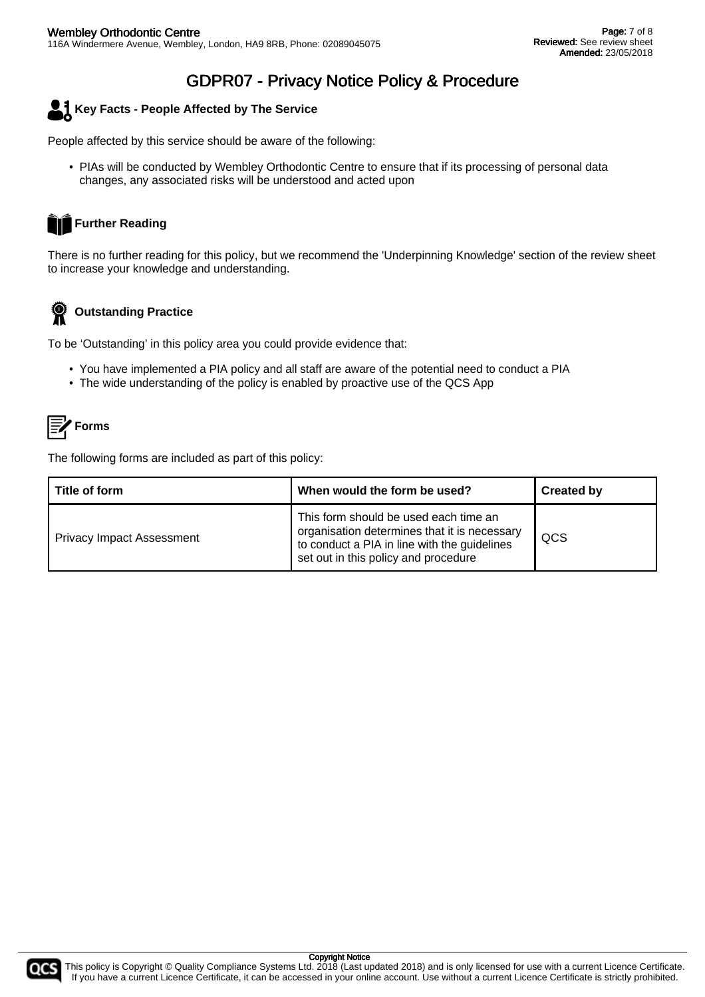# Key Facts - People Affected by The Service

People affected by this service should be aware of the following:

• PIAs will be conducted by Wembley Orthodontic Centre to ensure that if its processing of personal data changes, any associated risks will be understood and acted upon

# **Further Reading**

There is no further reading for this policy, but we recommend the 'Underpinning Knowledge' section of the review sheet to increase your knowledge and understanding.

#### $\mathbf{Q}$ **Outstanding Practice**

To be 'Outstanding' in this policy area you could provide evidence that:

- You have implemented a PIA policy and all staff are aware of the potential need to conduct a PIA
- The wide understanding of the policy is enabled by proactive use of the QCS App

# **Forms**

The following forms are included as part of this policy:

| l Title of form                  | When would the form be used?                                                                                                                                                  | <b>Created by</b> |
|----------------------------------|-------------------------------------------------------------------------------------------------------------------------------------------------------------------------------|-------------------|
| <b>Privacy Impact Assessment</b> | This form should be used each time an<br>organisation determines that it is necessary<br>to conduct a PIA in line with the guidelines<br>set out in this policy and procedure | QCS               |

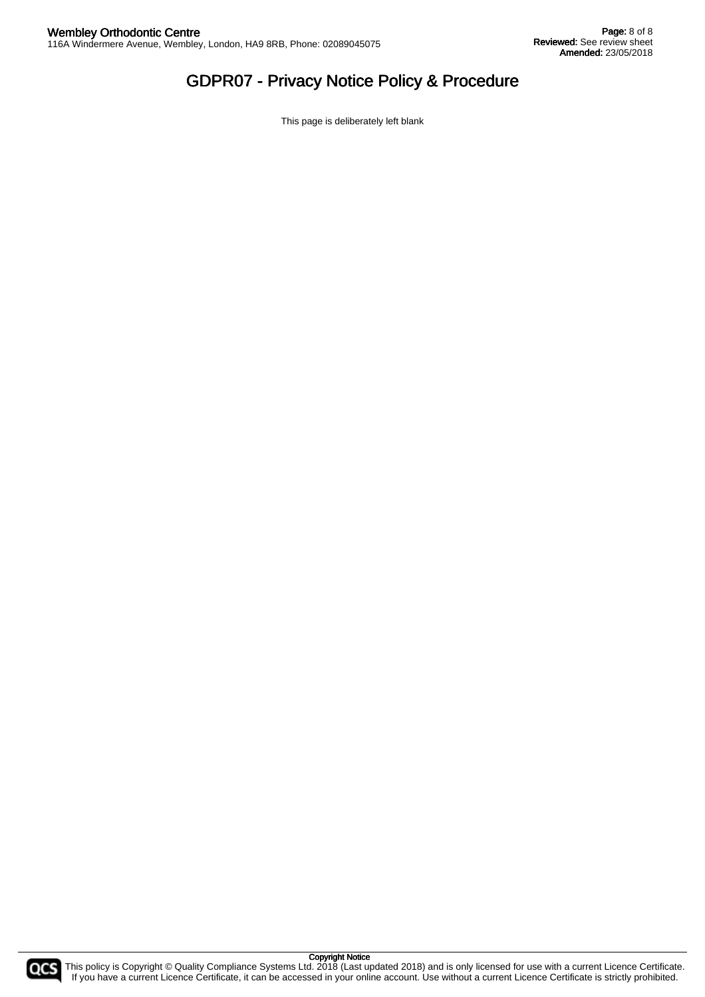This page is deliberately left blank

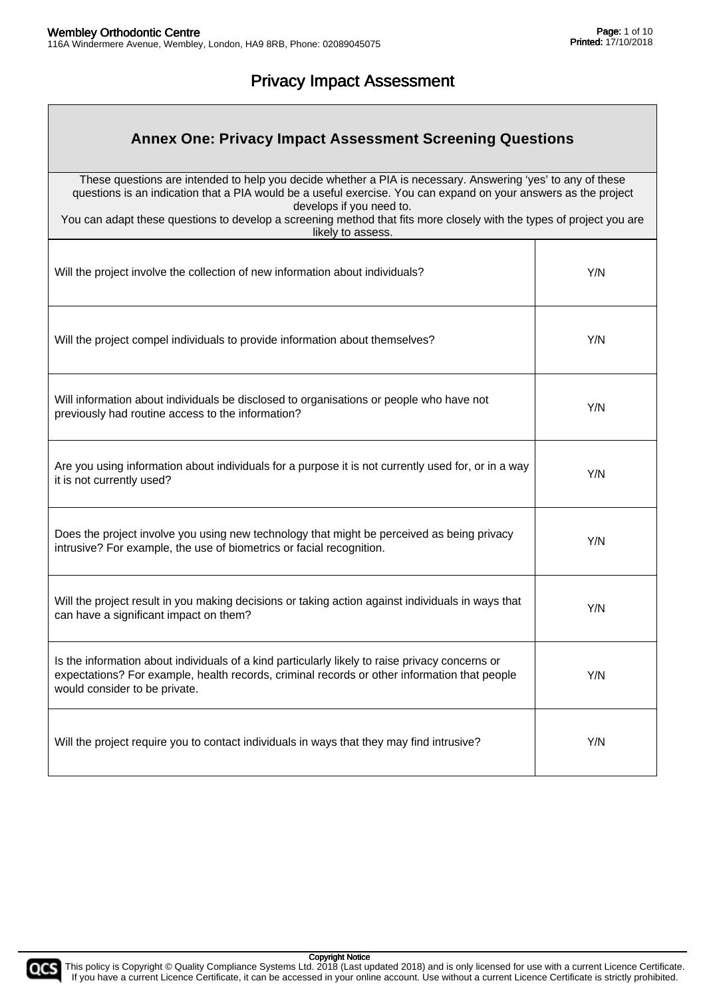| <b>Annex One: Privacy Impact Assessment Screening Questions</b>                                                                                                                                                                                                                                                                                                                    |     |  |  |
|------------------------------------------------------------------------------------------------------------------------------------------------------------------------------------------------------------------------------------------------------------------------------------------------------------------------------------------------------------------------------------|-----|--|--|
| These questions are intended to help you decide whether a PIA is necessary. Answering 'yes' to any of these<br>questions is an indication that a PIA would be a useful exercise. You can expand on your answers as the project<br>develops if you need to.<br>You can adapt these questions to develop a screening method that fits more closely with the types of project you are |     |  |  |
| likely to assess.                                                                                                                                                                                                                                                                                                                                                                  |     |  |  |
| Will the project involve the collection of new information about individuals?                                                                                                                                                                                                                                                                                                      | Y/N |  |  |
| Will the project compel individuals to provide information about themselves?                                                                                                                                                                                                                                                                                                       | Y/N |  |  |
| Will information about individuals be disclosed to organisations or people who have not<br>previously had routine access to the information?                                                                                                                                                                                                                                       | Y/N |  |  |
| Are you using information about individuals for a purpose it is not currently used for, or in a way<br>it is not currently used?                                                                                                                                                                                                                                                   | Y/N |  |  |
| Does the project involve you using new technology that might be perceived as being privacy<br>intrusive? For example, the use of biometrics or facial recognition.                                                                                                                                                                                                                 | Y/N |  |  |
| Will the project result in you making decisions or taking action against individuals in ways that<br>can have a significant impact on them?                                                                                                                                                                                                                                        | Y/N |  |  |
| Is the information about individuals of a kind particularly likely to raise privacy concerns or<br>expectations? For example, health records, criminal records or other information that people<br>would consider to be private.                                                                                                                                                   | Y/N |  |  |
| Will the project require you to contact individuals in ways that they may find intrusive?                                                                                                                                                                                                                                                                                          | Y/N |  |  |

Г

Copyright Notice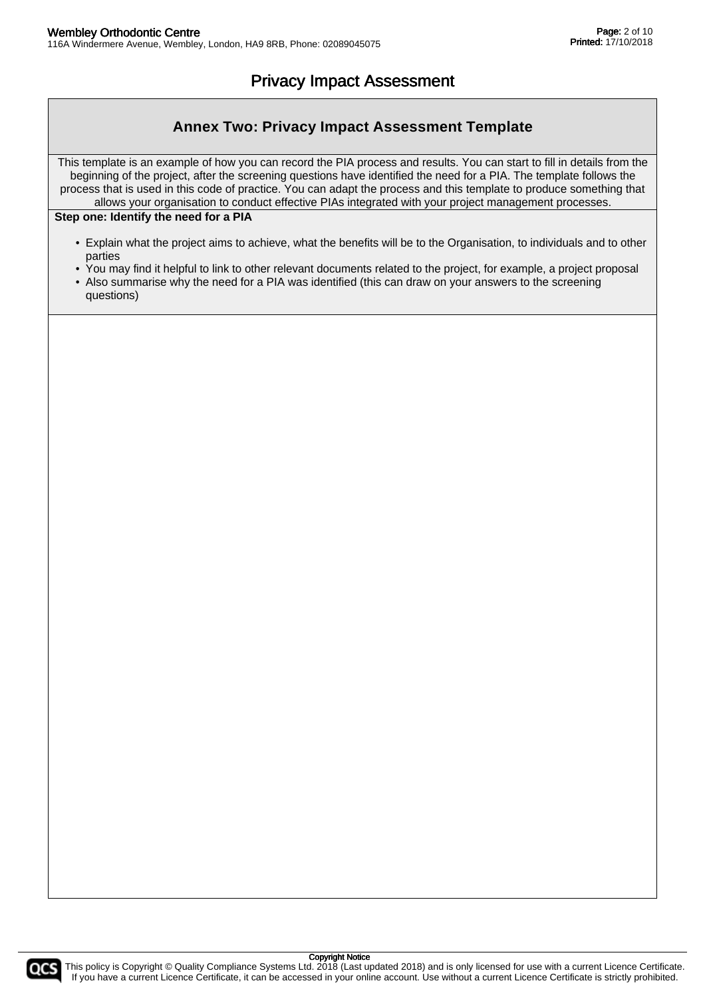| <b>Annex Two: Privacy Impact Assessment Template</b> |  |
|------------------------------------------------------|--|
|------------------------------------------------------|--|

This template is an example of how you can record the PIA process and results. You can start to fill in details from the beginning of the project, after the screening questions have identified the need for a PIA. The template follows the process that is used in this code of practice. You can adapt the process and this template to produce something that allows your organisation to conduct effective PIAs integrated with your project management processes.

#### **Step one: Identify the need for a PIA**

- Explain what the project aims to achieve, what the benefits will be to the Organisation, to individuals and to other parties
- You may find it helpful to link to other relevant documents related to the project, for example, a project proposal
- Also summarise why the need for a PIA was identified (this can draw on your answers to the screening questions)



This policy is Copyright © Quality Compliance Systems Ltd. 2018 (Last updated 2018) and is only licensed for use with a current Licence Certificate. If you have a current Licence Certificate, it can be accessed in your online account. Use without a current Licence Certificate is strictly prohibited.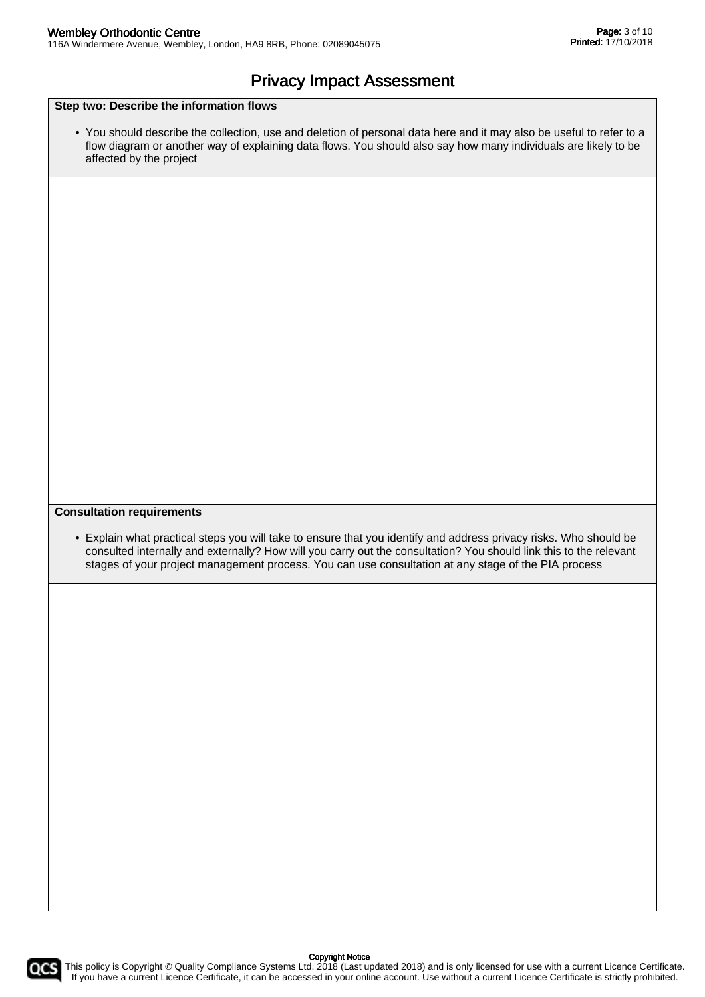| Step two: Describe the information flows                                                                                                                                                                                                                                                                                                       |
|------------------------------------------------------------------------------------------------------------------------------------------------------------------------------------------------------------------------------------------------------------------------------------------------------------------------------------------------|
| • You should describe the collection, use and deletion of personal data here and it may also be useful to refer to a<br>flow diagram or another way of explaining data flows. You should also say how many individuals are likely to be<br>affected by the project                                                                             |
|                                                                                                                                                                                                                                                                                                                                                |
|                                                                                                                                                                                                                                                                                                                                                |
|                                                                                                                                                                                                                                                                                                                                                |
|                                                                                                                                                                                                                                                                                                                                                |
|                                                                                                                                                                                                                                                                                                                                                |
|                                                                                                                                                                                                                                                                                                                                                |
|                                                                                                                                                                                                                                                                                                                                                |
|                                                                                                                                                                                                                                                                                                                                                |
|                                                                                                                                                                                                                                                                                                                                                |
|                                                                                                                                                                                                                                                                                                                                                |
|                                                                                                                                                                                                                                                                                                                                                |
|                                                                                                                                                                                                                                                                                                                                                |
|                                                                                                                                                                                                                                                                                                                                                |
|                                                                                                                                                                                                                                                                                                                                                |
|                                                                                                                                                                                                                                                                                                                                                |
|                                                                                                                                                                                                                                                                                                                                                |
|                                                                                                                                                                                                                                                                                                                                                |
| <b>Consultation requirements</b>                                                                                                                                                                                                                                                                                                               |
| • Explain what practical steps you will take to ensure that you identify and address privacy risks. Who should be<br>consulted internally and externally? How will you carry out the consultation? You should link this to the relevant<br>stages of your project management process. You can use consultation at any stage of the PIA process |
|                                                                                                                                                                                                                                                                                                                                                |
|                                                                                                                                                                                                                                                                                                                                                |
|                                                                                                                                                                                                                                                                                                                                                |
|                                                                                                                                                                                                                                                                                                                                                |
|                                                                                                                                                                                                                                                                                                                                                |
|                                                                                                                                                                                                                                                                                                                                                |
|                                                                                                                                                                                                                                                                                                                                                |
|                                                                                                                                                                                                                                                                                                                                                |
|                                                                                                                                                                                                                                                                                                                                                |
|                                                                                                                                                                                                                                                                                                                                                |
|                                                                                                                                                                                                                                                                                                                                                |
|                                                                                                                                                                                                                                                                                                                                                |

Copyright Notice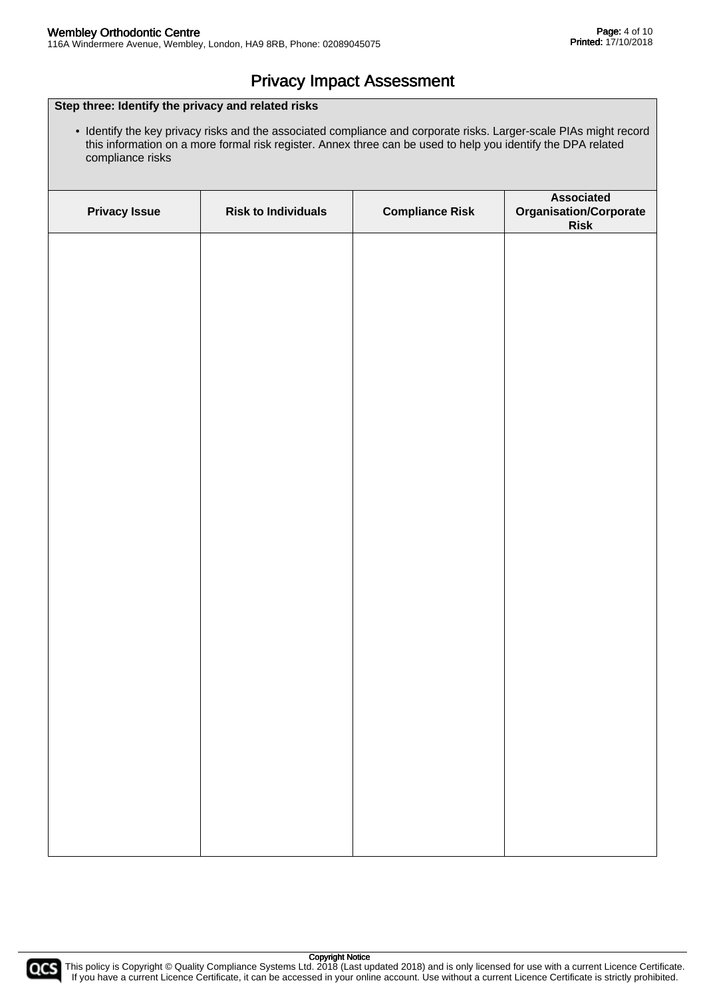#### Wembley Orthodontic Centre 116A Windermere Avenue, Wembley, London, HA9 8RB, Phone: 02089045075

### Privacy Impact Assessment

### **Step three: Identify the privacy and related risks**

• Identify the key privacy risks and the associated compliance and corporate risks. Larger-scale PIAs might record this information on a more formal risk register. Annex three can be used to help you identify the DPA related compliance risks

| <b>Privacy Issue</b> | <b>Risk to Individuals</b> | <b>Compliance Risk</b> | Associated<br>Organisation/Corporate<br>Risk |
|----------------------|----------------------------|------------------------|----------------------------------------------|
|                      |                            |                        |                                              |
|                      |                            |                        |                                              |
|                      |                            |                        |                                              |
|                      |                            |                        |                                              |
|                      |                            |                        |                                              |
|                      |                            |                        |                                              |
|                      |                            |                        |                                              |
|                      |                            |                        |                                              |
|                      |                            |                        |                                              |
|                      |                            |                        |                                              |
|                      |                            |                        |                                              |
|                      |                            |                        |                                              |
|                      |                            |                        |                                              |

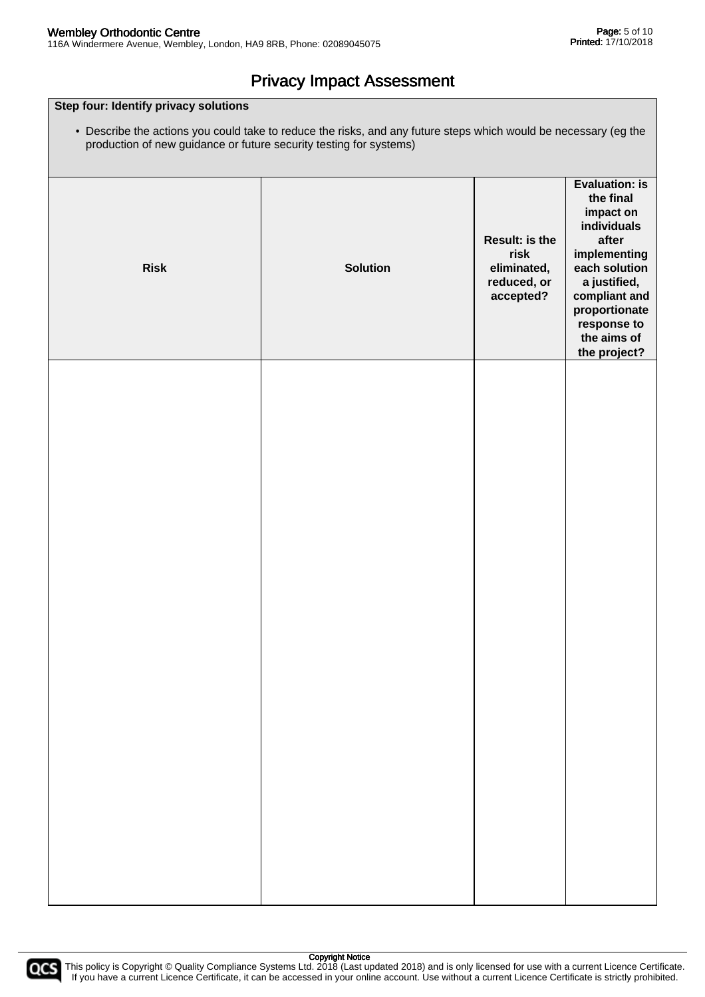### Wembley Orthodontic Centre

116A Windermere Avenue, Wembley, London, HA9 8RB, Phone: 02089045075

### Privacy Impact Assessment

| Step four: Identify privacy solutions                                                                                                                                                  |                 |                                                                   |                                                                                                                                                                                                          |  |  |
|----------------------------------------------------------------------------------------------------------------------------------------------------------------------------------------|-----------------|-------------------------------------------------------------------|----------------------------------------------------------------------------------------------------------------------------------------------------------------------------------------------------------|--|--|
| • Describe the actions you could take to reduce the risks, and any future steps which would be necessary (eg the<br>production of new guidance or future security testing for systems) |                 |                                                                   |                                                                                                                                                                                                          |  |  |
| <b>Risk</b>                                                                                                                                                                            | <b>Solution</b> | Result: is the<br>risk<br>eliminated,<br>reduced, or<br>accepted? | <b>Evaluation: is</b><br>the final<br>impact on<br>individuals<br>after<br>implementing<br>each solution<br>a justified,<br>compliant and<br>proportionate<br>response to<br>the aims of<br>the project? |  |  |
|                                                                                                                                                                                        |                 |                                                                   |                                                                                                                                                                                                          |  |  |
|                                                                                                                                                                                        |                 |                                                                   |                                                                                                                                                                                                          |  |  |
|                                                                                                                                                                                        |                 |                                                                   |                                                                                                                                                                                                          |  |  |
|                                                                                                                                                                                        |                 |                                                                   |                                                                                                                                                                                                          |  |  |
|                                                                                                                                                                                        |                 |                                                                   |                                                                                                                                                                                                          |  |  |
|                                                                                                                                                                                        |                 |                                                                   |                                                                                                                                                                                                          |  |  |
|                                                                                                                                                                                        |                 |                                                                   |                                                                                                                                                                                                          |  |  |
|                                                                                                                                                                                        |                 |                                                                   |                                                                                                                                                                                                          |  |  |
|                                                                                                                                                                                        |                 |                                                                   |                                                                                                                                                                                                          |  |  |
|                                                                                                                                                                                        |                 |                                                                   |                                                                                                                                                                                                          |  |  |



Copyright Notice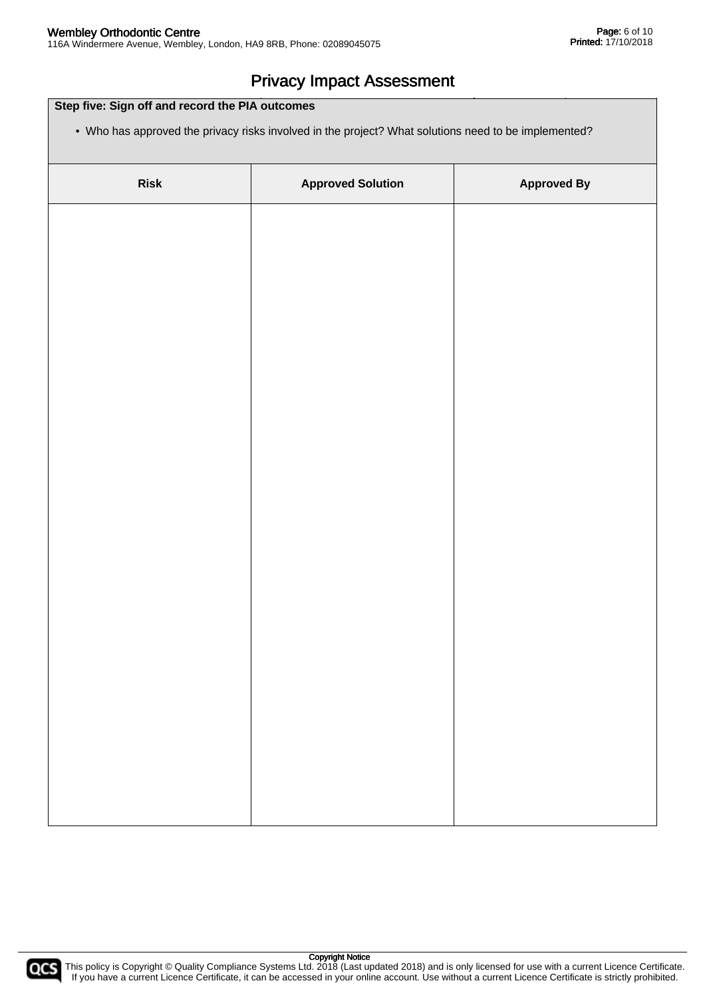| <b>Risk</b> | <b>Approved Solution</b> | <b>Approved By</b> |
|-------------|--------------------------|--------------------|
|             |                          |                    |
|             |                          |                    |
|             |                          |                    |
|             |                          |                    |
|             |                          |                    |
|             |                          |                    |
|             |                          |                    |
|             |                          |                    |
|             |                          |                    |
|             |                          |                    |
|             |                          |                    |
|             |                          |                    |
|             |                          |                    |
|             |                          |                    |
|             |                          |                    |
|             |                          |                    |
|             |                          |                    |
|             |                          |                    |
|             |                          |                    |



This policy is Copyright © Quality Compliance Systems Ltd. 2018 (Last updated 2018) and is only licensed for use with a current Licence Certificate. If you have a current Licence Certificate, it can be accessed in your online account. Use without a current Licence Certificate is strictly prohibited.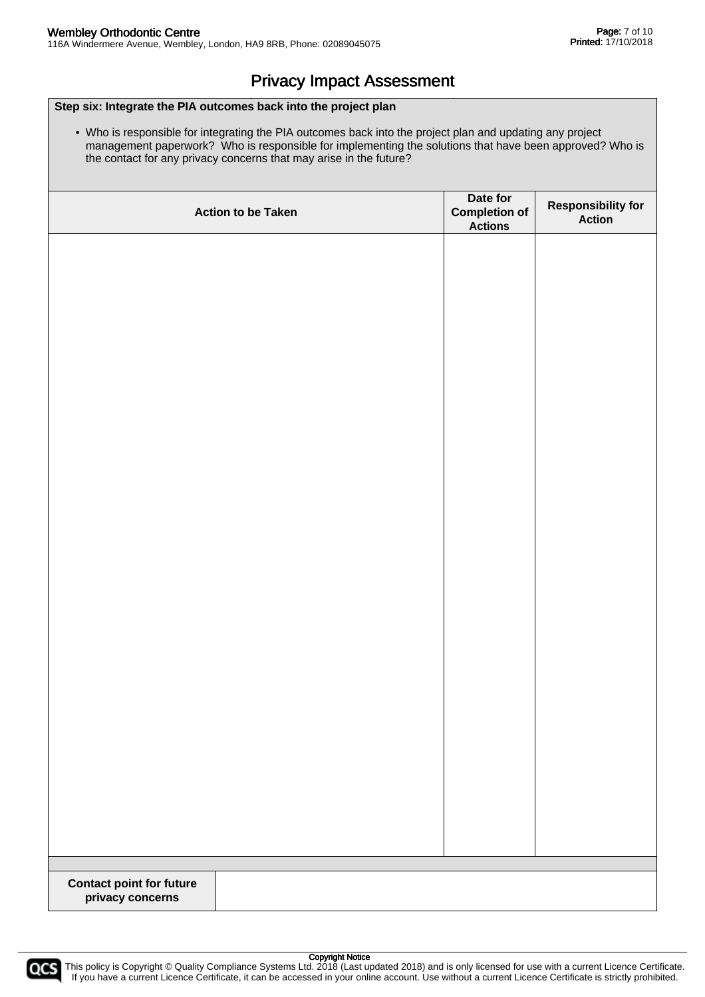| Step six: Integrate the PIA outcomes back into the project plan |                                                                                                                                                                                                                                                                                            |  |                                                    |                                            |
|-----------------------------------------------------------------|--------------------------------------------------------------------------------------------------------------------------------------------------------------------------------------------------------------------------------------------------------------------------------------------|--|----------------------------------------------------|--------------------------------------------|
|                                                                 | • Who is responsible for integrating the PIA outcomes back into the project plan and updating any project<br>management paperwork? Who is responsible for implementing the solutions that have been approved? Who is<br>the contact for any privacy concerns that may arise in the future? |  |                                                    |                                            |
|                                                                 | <b>Action to be Taken</b>                                                                                                                                                                                                                                                                  |  | Date for<br><b>Completion of</b><br><b>Actions</b> | <b>Responsibility for</b><br><b>Action</b> |
|                                                                 |                                                                                                                                                                                                                                                                                            |  |                                                    |                                            |
|                                                                 |                                                                                                                                                                                                                                                                                            |  |                                                    |                                            |
|                                                                 |                                                                                                                                                                                                                                                                                            |  |                                                    |                                            |
|                                                                 |                                                                                                                                                                                                                                                                                            |  |                                                    |                                            |
|                                                                 |                                                                                                                                                                                                                                                                                            |  |                                                    |                                            |
|                                                                 |                                                                                                                                                                                                                                                                                            |  |                                                    |                                            |
|                                                                 |                                                                                                                                                                                                                                                                                            |  |                                                    |                                            |
|                                                                 |                                                                                                                                                                                                                                                                                            |  |                                                    |                                            |
|                                                                 |                                                                                                                                                                                                                                                                                            |  |                                                    |                                            |
|                                                                 |                                                                                                                                                                                                                                                                                            |  |                                                    |                                            |
|                                                                 |                                                                                                                                                                                                                                                                                            |  |                                                    |                                            |
|                                                                 |                                                                                                                                                                                                                                                                                            |  |                                                    |                                            |
|                                                                 |                                                                                                                                                                                                                                                                                            |  |                                                    |                                            |
|                                                                 |                                                                                                                                                                                                                                                                                            |  |                                                    |                                            |
|                                                                 |                                                                                                                                                                                                                                                                                            |  |                                                    |                                            |
|                                                                 |                                                                                                                                                                                                                                                                                            |  |                                                    |                                            |
| <b>Contact point for future</b><br>privacy concerns             |                                                                                                                                                                                                                                                                                            |  |                                                    |                                            |



Copyright Notice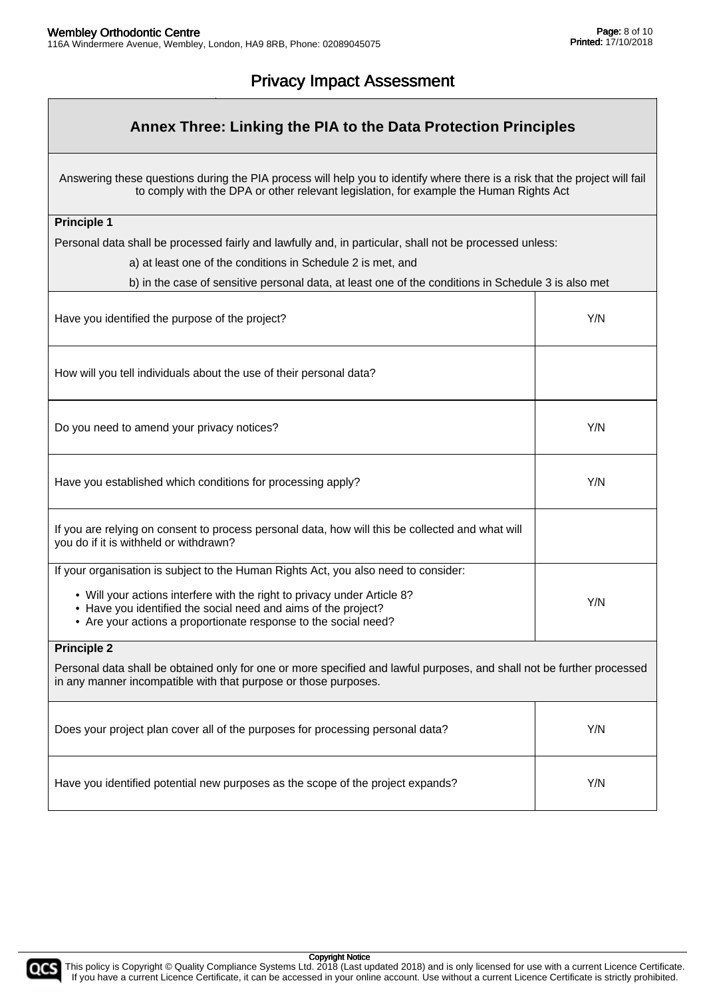| Annex Three: Linking the PIA to the Data Protection Principles                                                                                                                                                        |     |  |  |
|-----------------------------------------------------------------------------------------------------------------------------------------------------------------------------------------------------------------------|-----|--|--|
| Answering these questions during the PIA process will help you to identify where there is a risk that the project will fail<br>to comply with the DPA or other relevant legislation, for example the Human Rights Act |     |  |  |
| <b>Principle 1</b>                                                                                                                                                                                                    |     |  |  |
| Personal data shall be processed fairly and lawfully and, in particular, shall not be processed unless:                                                                                                               |     |  |  |
| a) at least one of the conditions in Schedule 2 is met, and                                                                                                                                                           |     |  |  |
| b) in the case of sensitive personal data, at least one of the conditions in Schedule 3 is also met                                                                                                                   |     |  |  |
| Have you identified the purpose of the project?                                                                                                                                                                       | Y/N |  |  |
| How will you tell individuals about the use of their personal data?                                                                                                                                                   |     |  |  |
| Do you need to amend your privacy notices?                                                                                                                                                                            | Y/N |  |  |
| Have you established which conditions for processing apply?                                                                                                                                                           | Y/N |  |  |
| If you are relying on consent to process personal data, how will this be collected and what will<br>you do if it is withheld or withdrawn?                                                                            |     |  |  |
| If your organisation is subject to the Human Rights Act, you also need to consider:                                                                                                                                   |     |  |  |
| • Will your actions interfere with the right to privacy under Article 8?<br>• Have you identified the social need and aims of the project?<br>• Are your actions a proportionate response to the social need?         | Y/N |  |  |
| <b>Principle 2</b>                                                                                                                                                                                                    |     |  |  |
| Personal data shall be obtained only for one or more specified and lawful purposes, and shall not be further processed<br>in any manner incompatible with that purpose or those purposes.                             |     |  |  |
| Does your project plan cover all of the purposes for processing personal data?                                                                                                                                        | Y/N |  |  |
| Have you identified potential new purposes as the scope of the project expands?                                                                                                                                       | Y/N |  |  |

Copyright Notice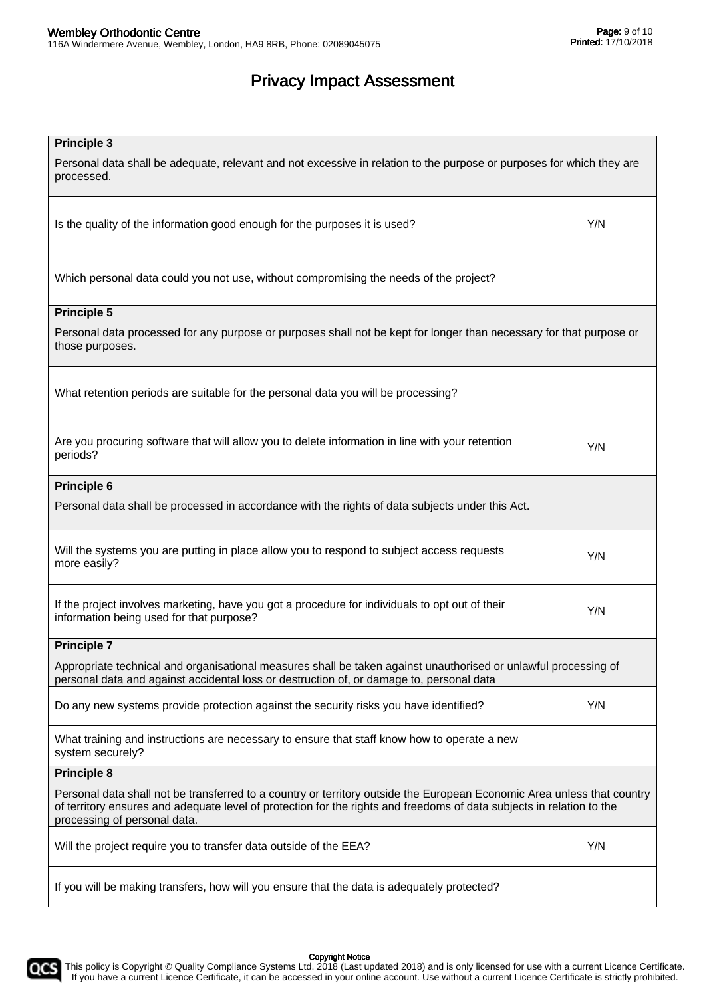| <b>Principle 3</b>                                                                                                                                                                                                                                                               |     |
|----------------------------------------------------------------------------------------------------------------------------------------------------------------------------------------------------------------------------------------------------------------------------------|-----|
| Personal data shall be adequate, relevant and not excessive in relation to the purpose or purposes for which they are<br>processed.                                                                                                                                              |     |
| Is the quality of the information good enough for the purposes it is used?                                                                                                                                                                                                       | Y/N |
| Which personal data could you not use, without compromising the needs of the project?                                                                                                                                                                                            |     |
| <b>Principle 5</b>                                                                                                                                                                                                                                                               |     |
| Personal data processed for any purpose or purposes shall not be kept for longer than necessary for that purpose or<br>those purposes.                                                                                                                                           |     |
| What retention periods are suitable for the personal data you will be processing?                                                                                                                                                                                                |     |
| Are you procuring software that will allow you to delete information in line with your retention<br>periods?                                                                                                                                                                     | Y/N |
| <b>Principle 6</b>                                                                                                                                                                                                                                                               |     |
| Personal data shall be processed in accordance with the rights of data subjects under this Act.                                                                                                                                                                                  |     |
| Will the systems you are putting in place allow you to respond to subject access requests<br>more easily?                                                                                                                                                                        | Y/N |
| If the project involves marketing, have you got a procedure for individuals to opt out of their<br>information being used for that purpose?                                                                                                                                      | Y/N |
| <b>Principle 7</b>                                                                                                                                                                                                                                                               |     |
| Appropriate technical and organisational measures shall be taken against unauthorised or unlawful processing of<br>personal data and against accidental loss or destruction of, or damage to, personal data                                                                      |     |
| Do any new systems provide protection against the security risks you have identified?                                                                                                                                                                                            | Y/N |
| What training and instructions are necessary to ensure that staff know how to operate a new<br>system securely?                                                                                                                                                                  |     |
| <b>Principle 8</b>                                                                                                                                                                                                                                                               |     |
| Personal data shall not be transferred to a country or territory outside the European Economic Area unless that country<br>of territory ensures and adequate level of protection for the rights and freedoms of data subjects in relation to the<br>processing of personal data. |     |
| Will the project require you to transfer data outside of the EEA?                                                                                                                                                                                                                | Y/N |
| If you will be making transfers, how will you ensure that the data is adequately protected?                                                                                                                                                                                      |     |



This policy is Copyright © Quality Compliance Systems Ltd. 2018 (Last updated 2018) and is only licensed for use with a current Licence Certificate.<br>If you have a current Licence Certificate, it can be accessed in your onl If you have a current Licence Certificate, it can be accessed in your online account. Use without a current Licence Certificate is strictly prohibited.